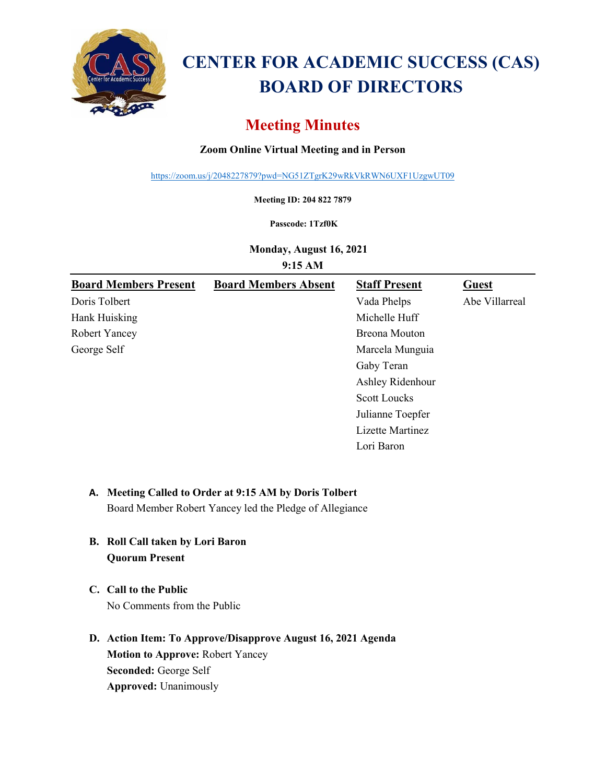

# **CENTER FOR ACADEMIC SUCCESS (CAS) BOARD OF DIRECTORS**

## **Meeting Minutes**

## **Zoom Online Virtual Meeting and in Person**

<https://zoom.us/j/2048227879?pwd=NG51ZTgrK29wRkVkRWN6UXF1UzgwUT09>

**Meeting ID: 204 822 7879**

#### **Passcode: 1Tzf0K**

**Monday, August 16, 2021**

**9:15 AM**

| <b>Board Members Present</b> | <b>Board Members Absent</b> | <b>Staff Present</b> | <b>Guest</b>   |
|------------------------------|-----------------------------|----------------------|----------------|
| Doris Tolbert                |                             | Vada Phelps          | Abe Villarreal |
| Hank Huisking                |                             | Michelle Huff        |                |
| Robert Yancey                |                             | Breona Mouton        |                |
| George Self                  |                             | Marcela Munguia      |                |
|                              |                             | Gaby Teran           |                |
|                              |                             | Ashley Ridenhour     |                |
|                              |                             | <b>Scott Loucks</b>  |                |
|                              |                             | Julianne Toepfer     |                |
|                              |                             | Lizette Martinez     |                |
|                              |                             | Lori Baron           |                |

### **A. Meeting Called to Order at 9:15 AM by Doris Tolbert**

Board Member Robert Yancey led the Pledge of Allegiance

- **B. Roll Call taken by Lori Baron Quorum Present**
- **C. Call to the Public** No Comments from the Public
- **D. Action Item: To Approve/Disapprove August 16, 2021 Agenda Motion to Approve:** Robert Yancey **Seconded:** George Self **Approved:** Unanimously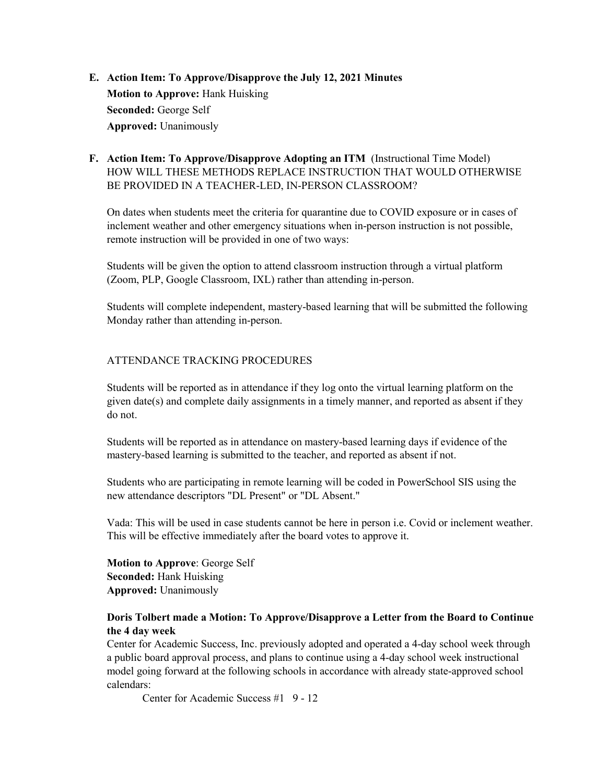## **E. Action Item: To Approve/Disapprove the July 12, 2021 Minutes Motion to Approve:** Hank Huisking **Seconded:** George Self **Approved:** Unanimously

## **F. Action Item: To Approve/Disapprove Adopting an ITM** (Instructional Time Model) HOW WILL THESE METHODS REPLACE INSTRUCTION THAT WOULD OTHERWISE BE PROVIDED IN A TEACHER-LED, IN-PERSON CLASSROOM?

On dates when students meet the criteria for quarantine due to COVID exposure or in cases of inclement weather and other emergency situations when in-person instruction is not possible, remote instruction will be provided in one of two ways:

Students will be given the option to attend classroom instruction through a virtual platform (Zoom, PLP, Google Classroom, IXL) rather than attending in-person.

Students will complete independent, mastery-based learning that will be submitted the following Monday rather than attending in-person.

#### ATTENDANCE TRACKING PROCEDURES

Students will be reported as in attendance if they log onto the virtual learning platform on the given date(s) and complete daily assignments in a timely manner, and reported as absent if they do not.

Students will be reported as in attendance on mastery-based learning days if evidence of the mastery-based learning is submitted to the teacher, and reported as absent if not.

Students who are participating in remote learning will be coded in PowerSchool SIS using the new attendance descriptors "DL Present" or "DL Absent."

Vada: This will be used in case students cannot be here in person i.e. Covid or inclement weather. This will be effective immediately after the board votes to approve it.

**Motion to Approve**: George Self **Seconded:** Hank Huisking **Approved:** Unanimously

#### **Doris Tolbert made a Motion: To Approve/Disapprove a Letter from the Board to Continue the 4 day week**

Center for Academic Success, Inc. previously adopted and operated a 4-day school week through a public board approval process, and plans to continue using a 4-day school week instructional model going forward at the following schools in accordance with already state-approved school calendars:

Center for Academic Success #1 9 - 12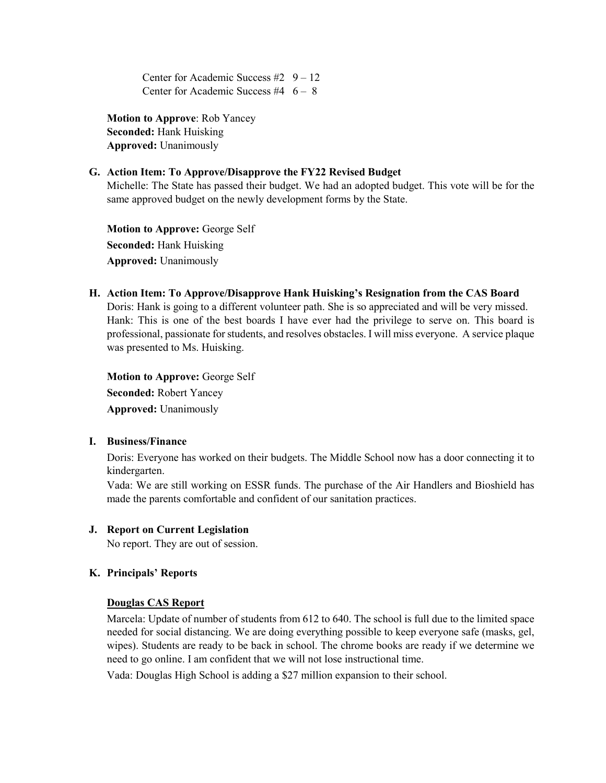Center for Academic Success #2  $9 - 12$ Center for Academic Success #4  $6 - 8$ 

**Motion to Approve**: Rob Yancey **Seconded:** Hank Huisking **Approved:** Unanimously

#### **G. Action Item: To Approve/Disapprove the FY22 Revised Budget**

Michelle: The State has passed their budget. We had an adopted budget. This vote will be for the same approved budget on the newly development forms by the State.

**Motion to Approve:** George Self **Seconded:** Hank Huisking **Approved:** Unanimously

#### **H. Action Item: To Approve/Disapprove Hank Huisking's Resignation from the CAS Board**

Doris: Hank is going to a different volunteer path. She is so appreciated and will be very missed. Hank: This is one of the best boards I have ever had the privilege to serve on. This board is professional, passionate for students, and resolves obstacles. I will miss everyone. A service plaque was presented to Ms. Huisking.

**Motion to Approve:** George Self **Seconded:** Robert Yancey **Approved:** Unanimously

#### **I. Business/Finance**

Doris: Everyone has worked on their budgets. The Middle School now has a door connecting it to kindergarten.

Vada: We are still working on ESSR funds. The purchase of the Air Handlers and Bioshield has made the parents comfortable and confident of our sanitation practices.

#### **J. Report on Current Legislation**

No report. They are out of session.

#### **K. Principals' Reports**

#### **Douglas CAS Report**

Marcela: Update of number of students from 612 to 640. The school is full due to the limited space needed for social distancing. We are doing everything possible to keep everyone safe (masks, gel, wipes). Students are ready to be back in school. The chrome books are ready if we determine we need to go online. I am confident that we will not lose instructional time.

Vada: Douglas High School is adding a \$27 million expansion to their school.